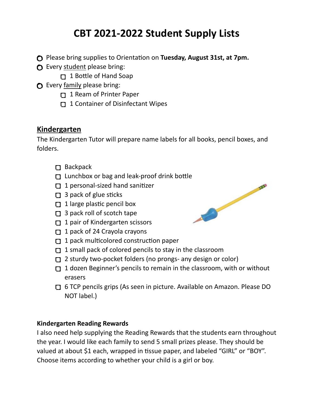# **CBT 2021-2022 Student Supply Lists**

- **C** Please bring supplies to Orientation on **Tuesday, August 31st, at 7pm.**
- **O** Every student please bring:
	- $\Box$  1 Bottle of Hand Soap
- **O** Every family please bring:
	- 1 Ream of Printer Paper
	- 1 Container of Disinfectant Wipes

### **Kindergarten**

The Kindergarten Tutor will prepare name labels for all books, pencil boxes, and folders.

- □ Backpack
- $\Box$  Lunchbox or bag and leak-proof drink bottle
- $\Box$  1 personal-sized hand sanitizer
- $\Box$  3 pack of glue sticks
- $\Box$  1 large plastic pencil box
- **1** 3 pack roll of scotch tape
- $\Box$  1 pair of Kindergarten scissors
- 1 pack of 24 Crayola crayons
- $\Box$  1 pack multicolored construction paper
- $\Box$  1 small pack of colored pencils to stay in the classroom
- 2 sturdy two-pocket folders (no prongs- any design or color)
- $\Box$  1 dozen Beginner's pencils to remain in the classroom, with or without erasers
- 6 TCP pencils grips (As seen in picture. Available on Amazon. Please DO NOT label.)

### **Kindergarten Reading Rewards**

I also need help supplying the Reading Rewards that the students earn throughout the year. I would like each family to send 5 small prizes please. They should be valued at about \$1 each, wrapped in tissue paper, and labeled "GIRL" or "BOY". Choose items according to whether your child is a girl or boy.

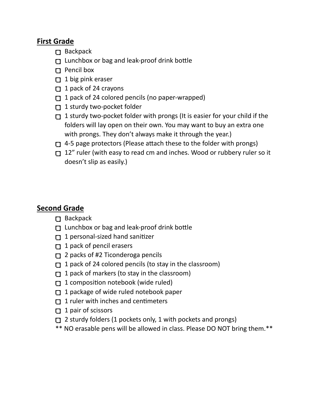## **First Grade**

- Backpack
- $\Box$  Lunchbox or bag and leak-proof drink bottle
- **D** Pencil box
- $\Box$  1 big pink eraser
- $\Box$  1 pack of 24 crayons
- $\Box$  1 pack of 24 colored pencils (no paper-wrapped)
- 1 sturdy two-pocket folder
- 1 sturdy two-pocket folder with prongs (It is easier for your child if the folders will lay open on their own. You may want to buy an extra one with prongs. They don't always make it through the year.)
- $\Box$  4-5 page protectors (Please attach these to the folder with prongs)
- 12" ruler (with easy to read cm and inches. Wood or rubbery ruler so it doesn't slip as easily.)

### **Second Grade**

- $\Box$  Backpack
- $\Box$  Lunchbox or bag and leak-proof drink bottle
- 1 personal-sized hand sanitizer
- $\Box$  1 pack of pencil erasers
- 2 packs of #2 Ticonderoga pencils
- 1 pack of 24 colored pencils (to stay in the classroom)
- 1 pack of markers (to stay in the classroom)
- 1 composition notebook (wide ruled)
- 1 package of wide ruled notebook paper
- 1 ruler with inches and centimeters
- $\Box$  1 pair of scissors
- $\Box$  2 sturdy folders (1 pockets only, 1 with pockets and prongs)
- \*\* NO erasable pens will be allowed in class. Please DO NOT bring them.\*\*